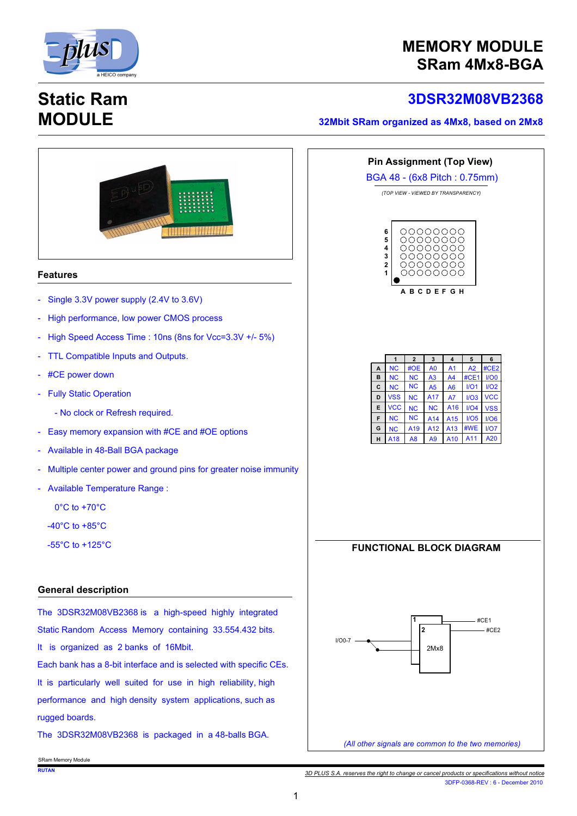

### **MEMORY MODULE SRam 4Mx8-BGA**

# **Static Ram MODULE**

### **3 D S R 3 2 M 0 8 V B 2 3 6 8**

#### **32Mbit SRam organized as 4Mx8, based on 2Mx8**



*<sup>3</sup>D PLUS S.A. reserves the right to change or cancel products or specifications without notice* 3DFP-0368-REV : 6 - December 2010